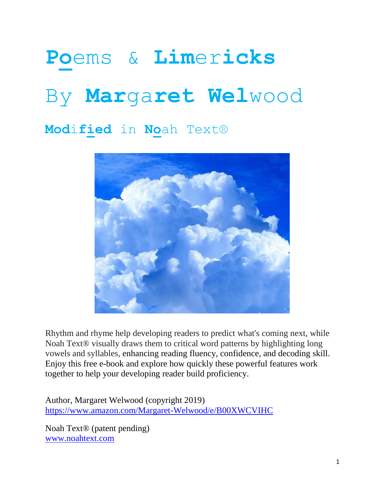# **Po**ems & **Lim**er**icks** By **Mar**ga**ret Wel**wood

**Mod**i**fied** in **No**ah Text®



Rhythm and rhyme help developing readers to predict what's coming next, while Noah Text® visually draws them to critical word patterns by highlighting long vowels and syllables, enhancing reading fluency, confidence, and decoding skill. Enjoy this free e-book and explore how quickly these powerful features work together to help your developing reader build proficiency.

Author, Margaret Welwood (copyright 2019) <https://www.amazon.com/Margaret-Welwood/e/B00XWCVIHC>

Noah Text® (patent pending) [www.noahtext.com](http://www.noahtext.com/)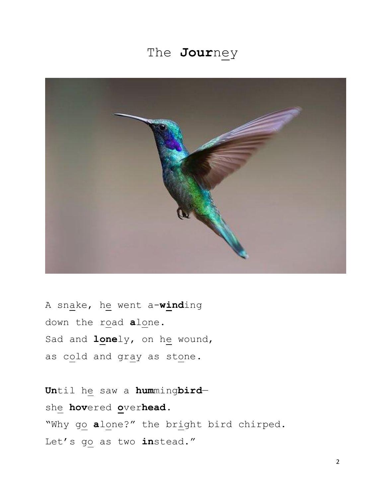# The **Jour**ney



A snake, he went a-**wind**ing down the road **a**lone. Sad and **lone**ly, on he wound, as cold and gray as stone.

**Un**til he saw a **hum**ming**bird** she **hov**ered **o**ver**head**. "Why go **a**lone?" the bright bird chirped. Let's go as two **in**stead."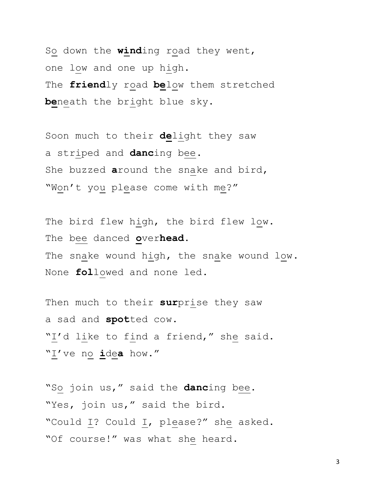So down the **wind**ing road they went, one low and one up high. The **friend**ly road **be**low them stretched **be**neath the bright blue sky.

Soon much to their **de**light they saw a striped and **danc**ing bee. She buzzed **a**round the snake and bird, "Won't you please come with me?"

The bird flew high, the bird flew low. The bee danced **o**ver**head**. The snake wound high, the snake wound low. None **fol**lowed and none led.

Then much to their **sur**prise they saw a sad and **spot**ted cow. "I'd like to find a friend," she said. "I've no **i**de**a** how."

"So join us," said the **danc**ing bee. "Yes, join us," said the bird. "Could I? Could I, please?" she asked. "Of course!" was what she heard.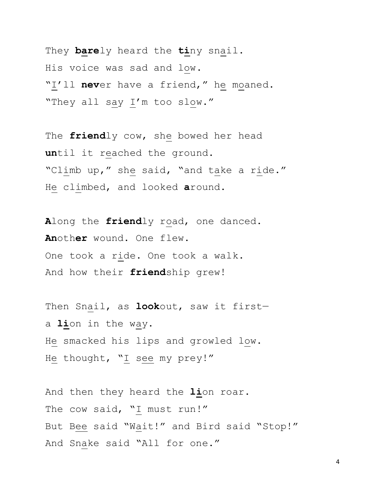They **bare**ly heard the **ti**ny snail. His voice was sad and low. "I'll **nev**er have a friend," he moaned. "They all say I'm too slow."

The **friend**ly cow, she bowed her head **un**til it reached the ground. "Climb up," she said, "and take a ride." He climbed, and looked **a**round.

**A**long the **friend**ly road, one danced. **An**oth**er** wound. One flew. One took a ride. One took a walk. And how their **friend**ship grew!

Then Snail, as **look**out, saw it first a **li**on in the way. He smacked his lips and growled low. He thought, "I see my prey!"

And then they heard the **li**on roar. The cow said,  $\sqrt{1}$  must run!" But Bee said "Wait!" and Bird said "Stop!" And Snake said "All for one."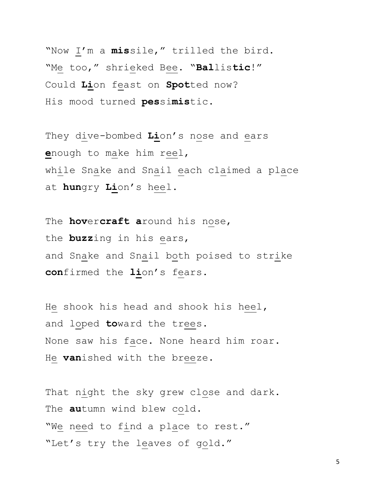"Now I'm a **mis**sile," trilled the bird. "Me too," shrieked Bee. "**Bal**lis**tic**!" Could **Li**on feast on **Spot**ted now? His mood turned **pes**si**mis**tic.

They dive-bombed **Li**on's nose and ears **e**nough to make him reel, while Snake and Snail each claimed a place at **hun**gry **Li**on's heel.

The **hov**er**craft a**round his nose, the **buzz**ing in his ears, and Snake and Snail both poised to strike **con**firmed the **li**on's fears.

He shook his head and shook his heel, and loped **to**ward the trees. None saw his face. None heard him roar. He **van**ished with the breeze.

That night the sky grew close and dark. The **au**tumn wind blew cold. "We need to find a place to rest." "Let's try the leaves of gold."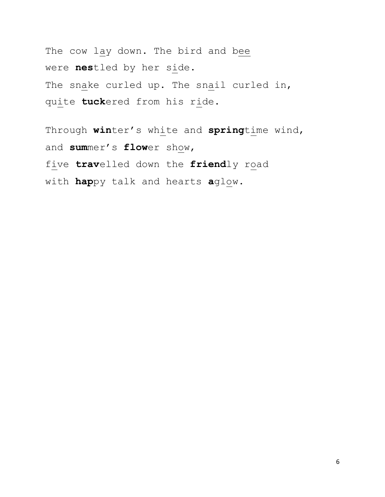The cow lay down. The bird and bee were **nes**tled by her side. The snake curled up. The snail curled in, quite **tuck**ered from his ride.

Through **win**ter's white and **spring**time wind, and **sum**mer's **flow**er show, five **trav**elled down the **friend**ly road with **hap**py talk and hearts **a**glow.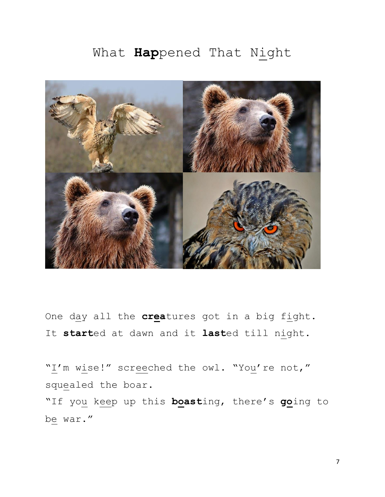## What **Hap**pened That Night



One day all the **crea**tures got in a big fight. It **start**ed at dawn and it **last**ed till night.

"I'm wise!" screeched the owl. "You're not," squealed the boar. "If you keep up this **boast**ing, there's **go**ing to be war."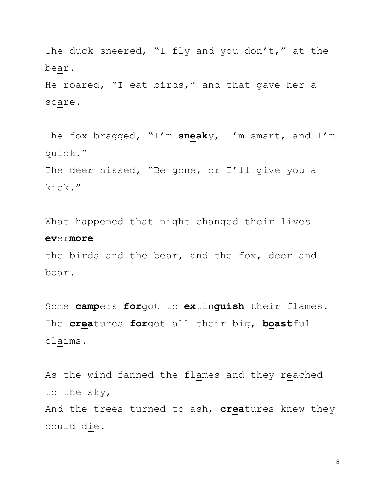The duck sneered, "I fly and you don't," at the bear.

He roared, "I eat birds," and that gave her a scare.

The fox bragged, "I'm sneaky, I'm smart, and I'm quick." The deer hissed, "Be gone, or I'll give you a kick."

What happened that night changed their lives **ev**er**more**—

the birds and the bear, and the fox, deer and boar.

Some **camp**ers **for**got to **ex**tin**guish** their flames. The **crea**tures **for**got all their big, **boast**ful claims.

As the wind fanned the flames and they reached to the sky, And the trees turned to ash, **crea**tures knew they could die.

8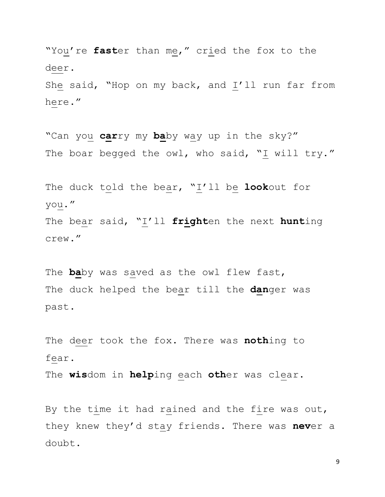"You're **fast**er than me," cried the fox to the deer.

She said, "Hop on my back, and I'll run far from here."

"Can you **car**ry my **ba**by way up in the sky?" The boar begged the owl, who said, "I will try."

The duck told the bear, "I'll be **look**out for you." The bear said, "I'll **fright**en the next **hunt**ing crew."

The **ba**by was saved as the owl flew fast, The duck helped the bear till the **dan**ger was past.

The deer took the fox. There was **noth**ing to fear.

The **wis**dom in **help**ing each **oth**er was clear.

By the time it had rained and the fire was out, they knew they'd stay friends. There was **nev**er a doubt.

9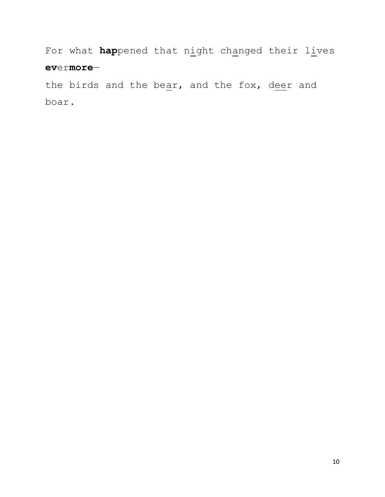For what **hap**pened that night changed their lives **ev**er**more**—

the birds and the bear, and the fox, deer and boar.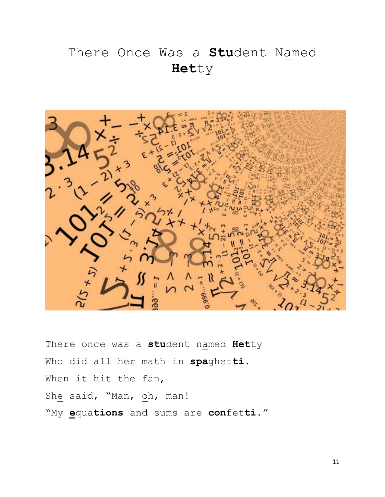# There Once Was a **Stu**dent Named **Het**ty



There once was a **stu**dent named **Het**ty Who did all her math in **spa**ghet**ti**. When it hit the fan, She said, "Man, oh, man! "My **e**qua**tions** and sums are **con**fet**ti**."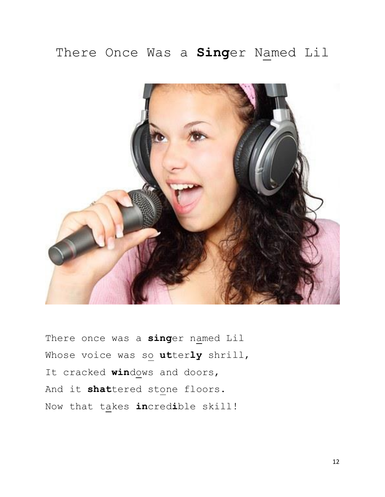## There Once Was a **Sing**er Named Lil



There once was a **sing**er named Lil Whose voice was so utterly shrill, It cracked **win**dows and doors, And it **shat**tered stone floors. Now that takes **in**cred**i**ble skill!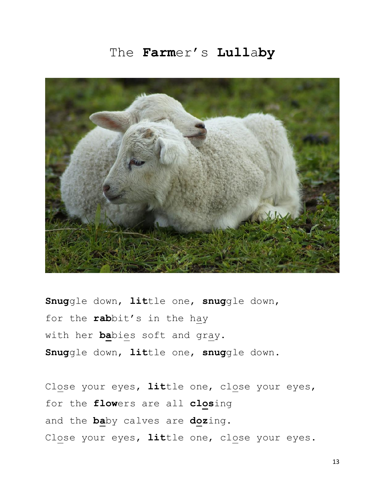#### The **Farm**er's **Lull**a**by**



**Snug**gle down, **lit**tle one, **snug**gle down, for the **rab**bit's in the hay with her **ba**bies soft and gray. **Snug**gle down, **lit**tle one, **snug**gle down.

Close your eyes, **lit**tle one, close your eyes, for the **flow**ers are all **clos**ing and the **ba**by calves are **doz**ing. Close your eyes, **lit**tle one, close your eyes.